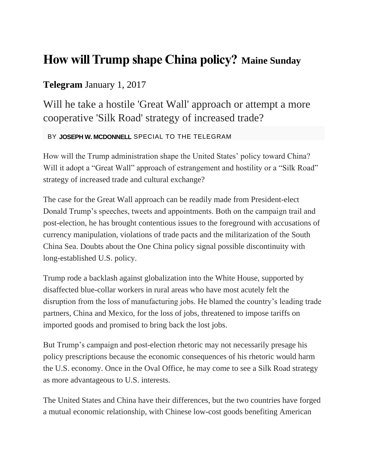# **How will Trump shape China policy? Maine Sunday**

### **Telegram** January 1, 2017

## Will he take a hostile 'Great Wall' approach or attempt a more cooperative 'Silk Road' strategy of increased trade?

#### BY **JOSEPH W. MCDONNELL** SPECIAL TO THE TELEGRAM

How will the Trump administration shape the United States' policy toward China? Will it adopt a "Great Wall" approach of estrangement and hostility or a "Silk Road" strategy of increased trade and cultural exchange?

The case for the Great Wall approach can be readily made from President-elect Donald Trump's speeches, tweets and appointments. Both on the campaign trail and post-election, he has brought contentious issues to the foreground with accusations of currency manipulation, violations of trade pacts and the militarization of the South China Sea. Doubts about the One China policy signal possible discontinuity with long-established U.S. policy.

Trump rode a backlash against globalization into the White House, supported by disaffected blue-collar workers in rural areas who have most acutely felt the disruption from the loss of manufacturing jobs. He blamed the country's leading trade partners, China and Mexico, for the loss of jobs, threatened to impose tariffs on imported goods and promised to bring back the lost jobs.

But Trump's campaign and post-election rhetoric may not necessarily presage his policy prescriptions because the economic consequences of his rhetoric would harm the U.S. economy. Once in the Oval Office, he may come to see a Silk Road strategy as more advantageous to U.S. interests.

The United States and China have their differences, but the two countries have forged a mutual economic relationship, with Chinese low-cost goods benefiting American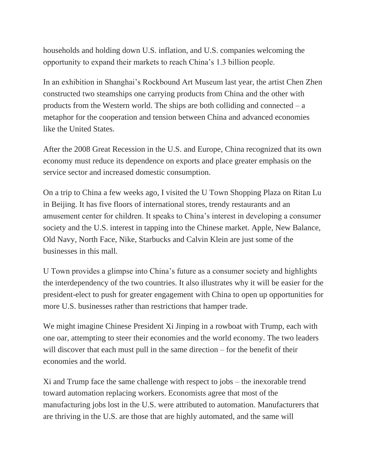households and holding down U.S. inflation, and U.S. companies welcoming the opportunity to expand their markets to reach China's 1.3 billion people.

In an exhibition in Shanghai's Rockbound Art Museum last year, the artist Chen Zhen constructed two steamships one carrying products from China and the other with products from the Western world. The ships are both colliding and connected  $-a$ metaphor for the cooperation and tension between China and advanced economies like the United States.

After the 2008 Great Recession in the U.S. and Europe, China recognized that its own economy must reduce its dependence on exports and place greater emphasis on the service sector and increased domestic consumption.

On a trip to China a few weeks ago, I visited the U Town Shopping Plaza on Ritan Lu in Beijing. It has five floors of international stores, trendy restaurants and an amusement center for children. It speaks to China's interest in developing a consumer society and the U.S. interest in tapping into the Chinese market. Apple, New Balance, Old Navy, North Face, Nike, Starbucks and Calvin Klein are just some of the businesses in this mall.

U Town provides a glimpse into China's future as a consumer society and highlights the interdependency of the two countries. It also illustrates why it will be easier for the president-elect to push for greater engagement with China to open up opportunities for more U.S. businesses rather than restrictions that hamper trade.

We might imagine Chinese President Xi Jinping in a rowboat with Trump, each with one oar, attempting to steer their economies and the world economy. The two leaders will discover that each must pull in the same direction – for the benefit of their economies and the world.

Xi and Trump face the same challenge with respect to jobs – the inexorable trend toward automation replacing workers. Economists agree that most of the manufacturing jobs lost in the U.S. were attributed to automation. Manufacturers that are thriving in the U.S. are those that are highly automated, and the same will